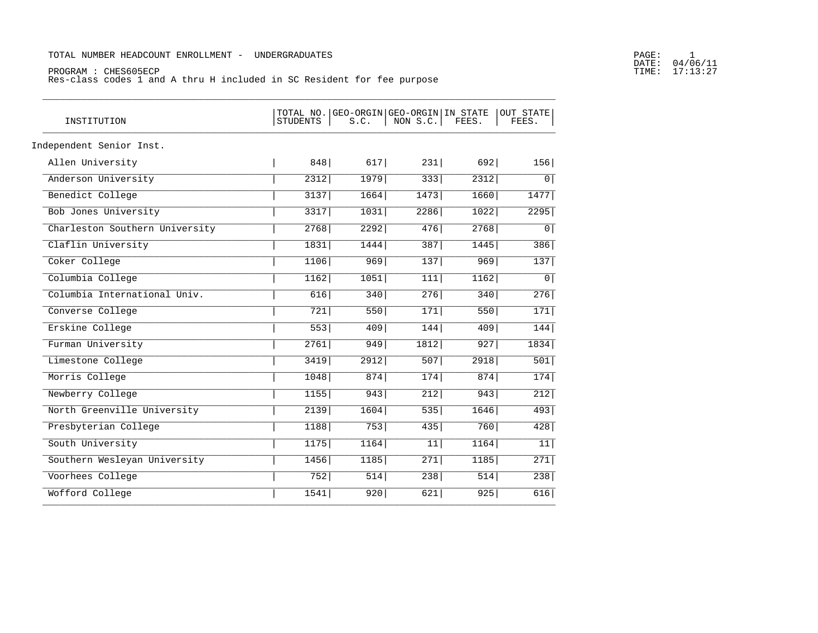## TOTAL NUMBER HEADCOUNT ENROLLMENT - UNDERGRADUATES

## PROGRAM : CHES605ECP<br>Res-class codes 1 and A thru H included in SC Resident for fee purpose

| INSTITUTION                    | STUDENTS | TOTAL NO. GEO-ORGIN GEO-ORGIN IN STATE<br>S.C. | NON S.C. | FEES. | OUT STATE<br>FEES. |
|--------------------------------|----------|------------------------------------------------|----------|-------|--------------------|
| Independent Senior Inst.       |          |                                                |          |       |                    |
| Allen University               | 848      | 617                                            | 231      | 692   | 156                |
| Anderson University            | 2312     | 1979                                           | 333      | 2312  | $\circ$            |
| Benedict College               | 3137     | 1664                                           | 1473     | 1660  | 1477               |
| Bob Jones University           | 3317     | 1031                                           | 2286     | 1022  | 2295               |
| Charleston Southern University | 2768     | 2292                                           | 476      | 2768  | 0 <sup>1</sup>     |
| Claflin University             | 1831     | 1444                                           | 387      | 1445  | 386                |
| Coker College                  | 1106     | 969                                            | 137      | 969   | 137                |
| Columbia College               | 1162     | 1051                                           | 111      | 1162  | $\overline{0}$     |
| Columbia International Univ.   | 616      | 340                                            | 276      | 340   | 276                |
| Converse College               | 721      | 550                                            | 171      | 550   | 171                |
| Erskine College                | 553      | 409                                            | 144      | 409   | 144                |
| Furman University              | 2761     | 949                                            | 1812     | 927   | 1834               |
| Limestone College              | 3419     | 2912                                           | 507      | 2918  | 501                |
| Morris College                 | 1048     | 874                                            | 174      | 874   | 174                |
| Newberry College               | 1155     | 943                                            | 212      | 943   | 212                |
| North Greenville University    | 2139     | 1604                                           | 535      | 1646  | 493                |
| Presbyterian College           | 1188     | 753                                            | 435      | 760   | 428                |
| South University               | 1175     | 1164                                           | 11       | 1164  | 11                 |
| Southern Wesleyan University   | 1456     | 1185                                           | 271      | 1185  | 271                |
| Voorhees College               | 752      | 514                                            | 238      | 514   | 238                |
| Wofford College                | 1541     | 920                                            | 621      | 925   | 616                |

# PAGE: 1<br>DATE: 04/06/11<br>TIME: 17:13:27